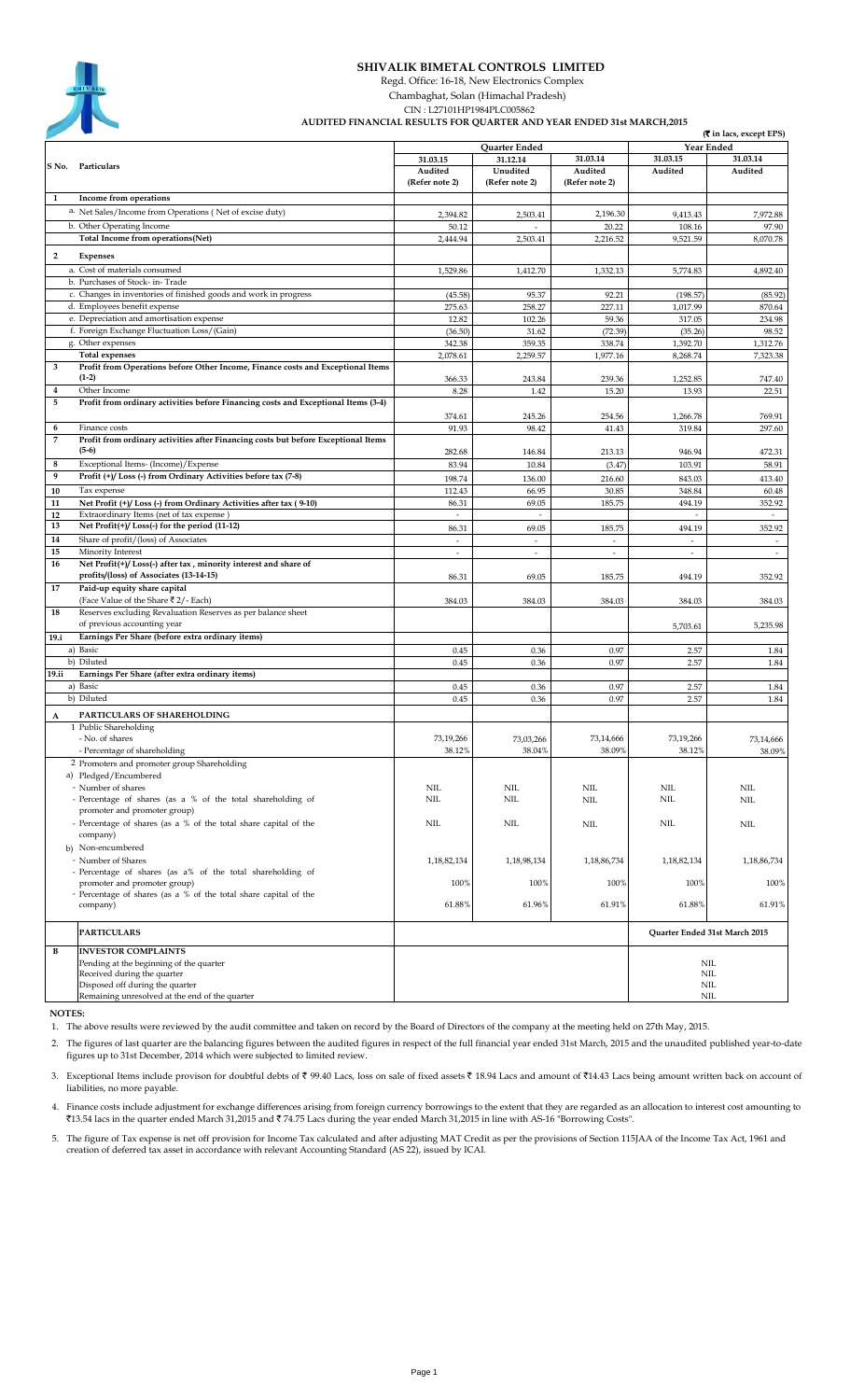

## **SHIVALIK BIMETAL CONTROLS LIMITED**

Regd. Office: 16-18, New Electronics Complex

 Chambaghat, Solan (Himachal Pradesh) CIN : L27101HP1984PLC005862

 **AUDITED FINANCIAL RESULTS FOR QUARTER AND YEAR ENDED 31st MARCH,2015**

|                         | which however on german into thing ho<br>(रैं in lacs, except EPS)                         |                          |                          |                          |                          |                               |  |
|-------------------------|--------------------------------------------------------------------------------------------|--------------------------|--------------------------|--------------------------|--------------------------|-------------------------------|--|
|                         |                                                                                            | Quarter Ended            |                          |                          | Year Ended               |                               |  |
|                         | Particulars                                                                                | 31.03.15                 | 31.12.14                 | 31.03.14                 | 31.03.15                 | 31.03.14                      |  |
| S No.                   |                                                                                            | Audited                  | Unudited                 | Audited                  | Audited                  | Audited                       |  |
|                         |                                                                                            | (Refer note 2)           | (Refer note 2)           | (Refer note 2)           |                          |                               |  |
| 1                       | Income from operations                                                                     |                          |                          |                          |                          |                               |  |
|                         | a. Net Sales/Income from Operations (Net of excise duty)                                   | 2,394.82                 | 2,503.41                 | 2,196.30                 | 9,413.43                 | 7,972.88                      |  |
|                         | b. Other Operating Income                                                                  | 50.12                    | $\overline{a}$           | 20.22                    | 108.16                   | 97.90                         |  |
|                         | Total Income from operations(Net)                                                          | 2,444.94                 | 2,503.41                 | 2,216.52                 | 9,521.59                 | 8,070.78                      |  |
| $\overline{2}$          | <b>Expenses</b>                                                                            |                          |                          |                          |                          |                               |  |
|                         | a. Cost of materials consumed                                                              | 1,529.86                 | 1,412.70                 | 1,332.13                 | 5,774.83                 | 4,892.40                      |  |
|                         | b. Purchases of Stock- in-Trade                                                            |                          |                          |                          |                          |                               |  |
|                         | c. Changes in inventories of finished goods and work in progress                           | (45.58)                  | 95.37                    | 92.21                    | (198.57)                 | (85.92)                       |  |
|                         | d. Employees benefit expense                                                               | 275.63                   | 258.27                   | 227.11                   | 1,017.99                 | 870.64                        |  |
|                         | e. Depreciation and amortisation expense                                                   | 12.82                    | 102.26                   | 59.36                    | 317.05                   | 234.98                        |  |
|                         | f. Foreign Exchange Fluctuation Loss/(Gain)                                                | (36.50)                  | 31.62                    | (72.39)                  | (35.26)                  | 98.52                         |  |
|                         | g. Other expenses<br><b>Total expenses</b>                                                 | 342.38                   | 359.35                   | 338.74                   | 1,392.70                 | 1,312.76                      |  |
| 3                       | Profit from Operations before Other Income, Finance costs and Exceptional Items            | 2,078.61                 | 2,259.57                 | 1,977.16                 | 8,268.74                 | 7,323.38                      |  |
|                         | $(1-2)$                                                                                    | 366.33                   | 243.84                   | 239.36                   | 1,252.85                 | 747.40                        |  |
| $\overline{\mathbf{4}}$ | Other Income                                                                               | 8.28                     | 1.42                     | 15.20                    | 13.93                    | 22.51                         |  |
| 5                       | Profit from ordinary activities before Financing costs and Exceptional Items (3-4)         |                          |                          |                          |                          |                               |  |
|                         |                                                                                            | 374.61                   | 245.26                   | 254.56                   | 1,266.78                 | 769.91                        |  |
| 6                       | Finance costs                                                                              | 91.93                    | 98.42                    | 41.43                    | 319.84                   | 297.60                        |  |
| 7                       | Profit from ordinary activities after Financing costs but before Exceptional Items         |                          |                          |                          |                          |                               |  |
|                         | $(5-6)$                                                                                    | 282.68                   | 146.84                   | 213.13                   | 946.94                   | 472.31                        |  |
| 8                       | Exceptional Items- (Income)/Expense                                                        | 83.94                    | 10.84                    | (3.47)                   | 103.91                   | 58.91                         |  |
| 9                       | Profit (+)/ Loss (-) from Ordinary Activities before tax (7-8)                             | 198.74                   | 136.00                   | 216.60                   | 843.03                   | 413.40                        |  |
| 10                      | Tax expense                                                                                | 112.43                   | 66.95                    | 30.85                    | 348.84                   | 60.48                         |  |
| 11                      | Net Profit (+)/ Loss (-) from Ordinary Activities after tax (9-10)                         | 86.31                    | 69.05                    | 185.75                   | 494.19                   | 352.92                        |  |
| 12<br>13                | Extraordinary Items (net of tax expense)<br>Net Profit(+)/Loss(-) for the period (11-12)   | $\overline{\phantom{a}}$ | $\overline{\phantom{a}}$ |                          | $\overline{\phantom{a}}$ | $\sim$                        |  |
| 14                      |                                                                                            | 86.31                    | 69.05                    | 185.75<br>$\overline{a}$ | 494.19                   | 352.92                        |  |
| 15                      | Share of profit/(loss) of Associates<br>Minority Interest                                  | $\overline{a}$<br>÷      | $\sim$<br>$\sim$         | $\overline{a}$           | $\sim$<br>$\sim$         |                               |  |
| 16                      | Net Profit(+)/Loss(-) after tax, minority interest and share of                            |                          |                          |                          |                          |                               |  |
|                         | profits/(loss) of Associates (13-14-15)                                                    | 86.31                    | 69.05                    | 185.75                   | 494.19                   | 352.92                        |  |
| 17                      | Paid-up equity share capital                                                               |                          |                          |                          |                          |                               |  |
|                         | (Face Value of the Share ₹2/- Each)                                                        | 384.03                   | 384.03                   | 384.03                   | 384.03                   | 384.03                        |  |
| 18                      | Reserves excluding Revaluation Reserves as per balance sheet                               |                          |                          |                          |                          |                               |  |
|                         | of previous accounting year                                                                |                          |                          |                          | 5,703.61                 | 5,235.98                      |  |
| 19.i                    | Earnings Per Share (before extra ordinary items)                                           |                          |                          |                          |                          |                               |  |
|                         | a) Basic                                                                                   | 0.45                     | 0.36                     | 0.97                     | 2.57                     | 1.84                          |  |
|                         | b) Diluted                                                                                 | 0.45                     | 0.36                     | 0.97                     | 2.57                     | 1.84                          |  |
| 19.ii                   | Earnings Per Share (after extra ordinary items)                                            |                          |                          |                          |                          |                               |  |
|                         | a) Basic<br>b) Diluted                                                                     | 0.45<br>0.45             | 0.36<br>0.36             | 0.97<br>0.97             | 2.57<br>2.57             | 1.84<br>1.84                  |  |
|                         |                                                                                            |                          |                          |                          |                          |                               |  |
| A                       | PARTICULARS OF SHAREHOLDING                                                                |                          |                          |                          |                          |                               |  |
|                         | 1 Public Shareholding<br>- No. of shares                                                   |                          |                          |                          |                          |                               |  |
|                         | - Percentage of shareholding                                                               | 73,19,266<br>38.12%      | 73,03,266<br>38.04%      | 73,14,666<br>38.09%      | 73,19,266<br>38.12%      | 73,14,666<br>38.09%           |  |
|                         | 2 Promoters and promoter group Shareholding                                                |                          |                          |                          |                          |                               |  |
|                         | a) Pledged/Encumbered                                                                      |                          |                          |                          |                          |                               |  |
|                         | - Number of shares                                                                         | NIL                      | NIL                      | NIL                      | NIL                      | NIL                           |  |
|                         | - Percentage of shares (as a % of the total shareholding of                                | <b>NIL</b>               | NIL                      | NIL                      | NIL                      | NIL                           |  |
|                         | promoter and promoter group)                                                               |                          |                          |                          |                          |                               |  |
|                         | - Percentage of shares (as a % of the total share capital of the                           | NIL                      | NIL                      | NIL                      | NIL                      | NIL                           |  |
|                         | company)                                                                                   |                          |                          |                          |                          |                               |  |
|                         | b) Non-encumbered                                                                          |                          |                          |                          |                          |                               |  |
|                         | - Number of Shares                                                                         | 1,18,82,134              | 1,18,98,134              | 1,18,86,734              | 1,18,82,134              | 1,18,86,734                   |  |
|                         | - Percentage of shares (as a% of the total shareholding of<br>promoter and promoter group) | 100%                     | 100%                     | 100%                     | 100%                     | 100%                          |  |
|                         | - Percentage of shares (as a % of the total share capital of the                           |                          |                          |                          |                          |                               |  |
|                         | company)                                                                                   | 61.88%                   | 61.96%                   | 61.91%                   | 61.88%                   | 61.91%                        |  |
|                         |                                                                                            |                          |                          |                          |                          |                               |  |
|                         | <b>PARTICULARS</b>                                                                         |                          |                          |                          |                          | Quarter Ended 31st March 2015 |  |
| В                       | <b>INVESTOR COMPLAINTS</b>                                                                 |                          |                          |                          |                          |                               |  |
|                         | Pending at the beginning of the quarter                                                    |                          |                          |                          |                          | NIL                           |  |
|                         | Received during the quarter                                                                |                          |                          |                          |                          | <b>NIL</b>                    |  |
|                         | Disposed off during the quarter<br>Remaining unresolved at the end of the quarter          |                          |                          |                          |                          | NIL<br>NIL                    |  |

 **NOTES:**

1. The above results were reviewed by the audit committee and taken on record by the Board of Directors of the company at the meeting held on 27th May, 2015.

2. The figures of last quarter are the balancing figures between the audited figures in respect of the full financial year ended 31st March, 2015 and the unaudited published year-to-date figures up to 31st December, 2014 which were subjected to limited review.

3. Exceptional Items include provison for doubtful debts of ₹ 99.40 Lacs, loss on sale of fixed assets ₹ 18.94 Lacs and amount of ₹14.43 Lacs being amount written back on account of liabilities, no more payable.

4. Finance costs include adjustment for exchange differences arising from foreign currency borrowings to the extent that they are regarded as an allocation to interest cost amounting to ₹13.54 lacs in the quarter ended March 31,2015 and ₹ 74.75 Lacs during the year ended March 31,2015 in line with AS-16 "Borrowing Costs".

5. The figure of Tax expense is net off provision for Income Tax calculated and after adjusting MAT Credit as per the provisions of Section 115JAA of the Income Tax Act, 1961 and creation of deferred tax asset in accordance with relevant Accounting Standard (AS 22), issued by ICAI.